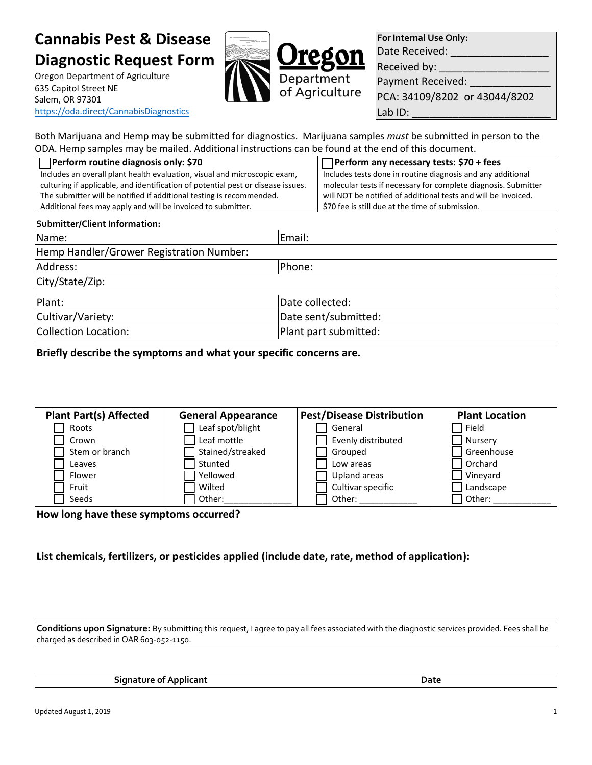# **Cannabis Pest & Disease Diagnostic Request Form**

Oregon Department of Agriculture 635 Capitol Street NE Salem, OR 97301 <https://oda.direct/CannabisDiagnostics>



**For Internal Use Only:** Date Received:

Received by:

Payment Received:

PCA: 34109/8202 or 43044/8202 Lab ID:

Both Marijuana and Hemp may be submitted for diagnostics. Marijuana samples *must* be submitted in person to the ODA. Hemp samples may be mailed. Additional instructions can be found at the end of this document.

| Perform routine diagnosis only: \$70                                             | □ Perform any necessary tests: \$70 + fees                     |
|----------------------------------------------------------------------------------|----------------------------------------------------------------|
| Includes an overall plant health evaluation, visual and microscopic exam,        | Includes tests done in routine diagnosis and any additional    |
| culturing if applicable, and identification of potential pest or disease issues. | molecular tests if necessary for complete diagnosis. Submitter |
| The submitter will be notified if additional testing is recommended.             | will NOT be notified of additional tests and will be invoiced. |
| Additional fees may apply and will be invoiced to submitter.                     | \$70 fee is still due at the time of submission.               |

#### **Submitter/Client Information:**

| Name:                                    | Email:                |  |  |
|------------------------------------------|-----------------------|--|--|
| Hemp Handler/Grower Registration Number: |                       |  |  |
| Address:                                 | Phone:                |  |  |
| City/State/Zip:                          |                       |  |  |
| Plant:                                   | Date collected:       |  |  |
| Cultivar/Variety:                        | Date sent/submitted:  |  |  |
| Collection Location:                     | Plant part submitted: |  |  |

| Briefly describe the symptoms and what your specific concerns are.                                                                                                                          |                           |                                  |                       |  |  |
|---------------------------------------------------------------------------------------------------------------------------------------------------------------------------------------------|---------------------------|----------------------------------|-----------------------|--|--|
|                                                                                                                                                                                             |                           |                                  |                       |  |  |
|                                                                                                                                                                                             |                           |                                  |                       |  |  |
| <b>Plant Part(s) Affected</b>                                                                                                                                                               | <b>General Appearance</b> | <b>Pest/Disease Distribution</b> | <b>Plant Location</b> |  |  |
| Roots                                                                                                                                                                                       | Leaf spot/blight          | General                          | Field                 |  |  |
| Crown                                                                                                                                                                                       | Leaf mottle               | Evenly distributed               | Nursery               |  |  |
| Stem or branch                                                                                                                                                                              | Stained/streaked          | Grouped                          | Greenhouse            |  |  |
| Leaves                                                                                                                                                                                      | Stunted                   | Low areas                        | Orchard               |  |  |
| Flower                                                                                                                                                                                      | Yellowed                  | Upland areas                     | Vineyard              |  |  |
| Fruit                                                                                                                                                                                       | Wilted                    | Cultivar specific                | Landscape             |  |  |
| Seeds                                                                                                                                                                                       | Other:                    | Other:                           | Other:                |  |  |
| How long have these symptoms occurred?                                                                                                                                                      |                           |                                  |                       |  |  |
|                                                                                                                                                                                             |                           |                                  |                       |  |  |
|                                                                                                                                                                                             |                           |                                  |                       |  |  |
|                                                                                                                                                                                             |                           |                                  |                       |  |  |
| List chemicals, fertilizers, or pesticides applied (include date, rate, method of application):                                                                                             |                           |                                  |                       |  |  |
|                                                                                                                                                                                             |                           |                                  |                       |  |  |
|                                                                                                                                                                                             |                           |                                  |                       |  |  |
|                                                                                                                                                                                             |                           |                                  |                       |  |  |
|                                                                                                                                                                                             |                           |                                  |                       |  |  |
|                                                                                                                                                                                             |                           |                                  |                       |  |  |
| Conditions upon Signature: By submitting this request, I agree to pay all fees associated with the diagnostic services provided. Fees shall be<br>charged as described in OAR 603-052-1150. |                           |                                  |                       |  |  |
|                                                                                                                                                                                             |                           |                                  |                       |  |  |
|                                                                                                                                                                                             |                           |                                  |                       |  |  |
| <b>Signature of Applicant</b>                                                                                                                                                               |                           | Date                             |                       |  |  |